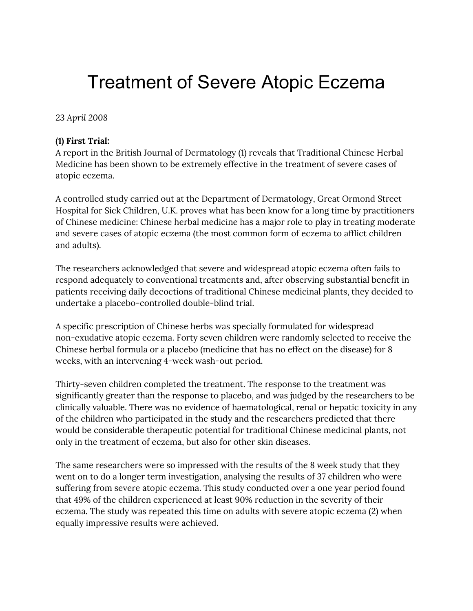# Treatment of Severe Atopic Eczema

*23 April 2008*

#### **(1) First Trial:**

A report in the British Journal of Dermatology (1) reveals that Traditional Chinese Herbal Medicine has been shown to be extremely effective in the treatment of severe cases of atopic eczema.

A controlled study carried out at the Department of Dermatology, Great Ormond Street Hospital for Sick Children, U.K. proves what has been know for a long time by practitioners of Chinese medicine: Chinese herbal medicine has a major role to play in treating moderate and severe cases of atopic eczema (the most common form of eczema to afflict children and adults).

The researchers acknowledged that severe and widespread atopic eczema often fails to respond adequately to conventional treatments and, after observing substantial benefit in patients receiving daily decoctions of traditional Chinese medicinal plants, they decided to undertake a placebo-controlled double-blind trial.

A specific prescription of Chinese herbs was specially formulated for widespread non-exudative atopic eczema. Forty seven children were randomly selected to receive the Chinese herbal formula or a placebo (medicine that has no effect on the disease) for 8 weeks, with an intervening 4-week wash-out period.

Thirty-seven children completed the treatment. The response to the treatment was significantly greater than the response to placebo, and was judged by the researchers to be clinically valuable. There was no evidence of haematological, renal or hepatic toxicity in any of the children who participated in the study and the researchers predicted that there would be considerable therapeutic potential for traditional Chinese medicinal plants, not only in the treatment of eczema, but also for other skin diseases.

The same researchers were so impressed with the results of the 8 week study that they went on to do a longer term investigation, analysing the results of 37 children who were suffering from severe atopic eczema. This study conducted over a one year period found that 49% of the children experienced at least 90% reduction in the severity of their eczema. The study was repeated this time on adults with severe atopic eczema (2) when equally impressive results were achieved.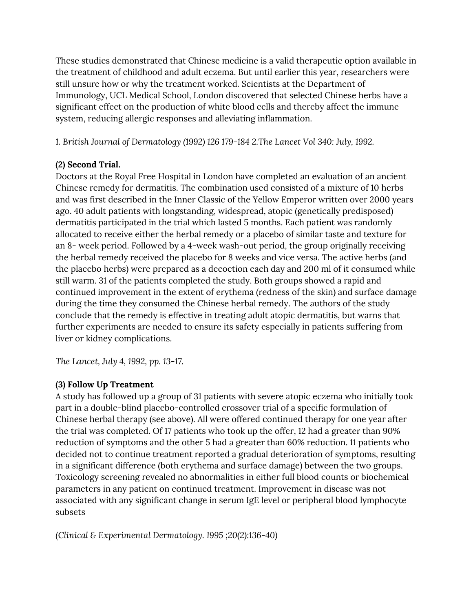These studies demonstrated that Chinese medicine is a valid therapeutic option available in the treatment of childhood and adult eczema. But until earlier this year, researchers were still unsure how or why the treatment worked. Scientists at the Department of Immunology, UCL Medical School, London discovered that selected Chinese herbs have a significant effect on the production of white blood cells and thereby affect the immune system, reducing allergic responses and alleviating inflammation.

*1. British Journal of Dermatology (1992) 126 179-184 2.The Lancet Vol 340: July, 1992.*

### **(2) Second Trial.**

Doctors at the Royal Free Hospital in London have completed an evaluation of an ancient Chinese remedy for dermatitis. The combination used consisted of a mixture of 10 herbs and was first described in the Inner Classic of the Yellow Emperor written over 2000 years ago. 40 adult patients with longstanding, widespread, atopic (genetically predisposed) dermatitis participated in the trial which lasted 5 months. Each patient was randomly allocated to receive either the herbal remedy or a placebo of similar taste and texture for an 8- week period. Followed by a 4-week wash-out period, the group originally receiving the herbal remedy received the placebo for 8 weeks and vice versa. The active herbs (and the placebo herbs) were prepared as a decoction each day and 200 ml of it consumed while still warm. 31 of the patients completed the study. Both groups showed a rapid and continued improvement in the extent of erythema (redness of the skin) and surface damage during the time they consumed the Chinese herbal remedy. The authors of the study conclude that the remedy is effective in treating adult atopic dermatitis, but warns that further experiments are needed to ensure its safety especially in patients suffering from liver or kidney complications.

*The Lancet, July 4, 1992, pp. 13-17.*

## **(3) Follow Up Treatment**

A study has followed up a group of 31 patients with severe atopic eczema who initially took part in a double-blind placebo-controlled crossover trial of a specific formulation of Chinese herbal therapy (see above). All were offered continued therapy for one year after the trial was completed. Of 17 patients who took up the offer, 12 had a greater than 90% reduction of symptoms and the other 5 had a greater than 60% reduction. 11 patients who decided not to continue treatment reported a gradual deterioration of symptoms, resulting in a significant difference (both erythema and surface damage) between the two groups. Toxicology screening revealed no abnormalities in either full blood counts or biochemical parameters in any patient on continued treatment. Improvement in disease was not associated with any significant change in serum IgE level or peripheral blood lymphocyte subsets

*(Clinical & Experimental Dermatology. 1995 ;20(2):136-40)*